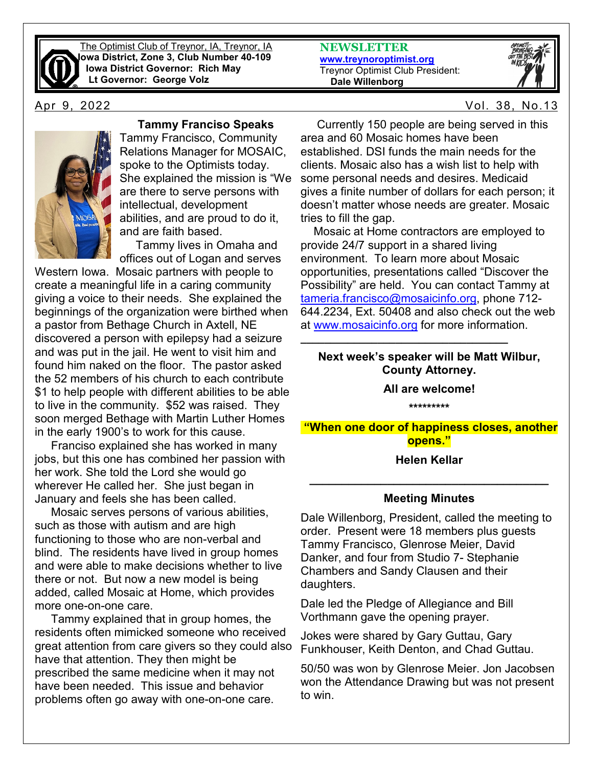

The Optimist Club of Treynor, IA, Treynor, IA **Iowa District, Zone 3, Club Number 40-109 Iowa District Governor: Rich May Lt Governor: George Volz**



## **Tammy Franciso Speaks**

Tammy Francisco, Community Relations Manager for MOSAIC, spoke to the Optimists today. She explained the mission is "We are there to serve persons with intellectual, development abilities, and are proud to do it, and are faith based.

 Tammy lives in Omaha and offices out of Logan and serves

Western Iowa. Mosaic partners with people to create a meaningful life in a caring community giving a voice to their needs. She explained the beginnings of the organization were birthed when a pastor from Bethage Church in Axtell, NE discovered a person with epilepsy had a seizure and was put in the jail. He went to visit him and found him naked on the floor. The pastor asked the 52 members of his church to each contribute \$1 to help people with different abilities to be able to live in the community. \$52 was raised. They soon merged Bethage with Martin Luther Homes in the early 1900's to work for this cause.

 Franciso explained she has worked in many jobs, but this one has combined her passion with her work. She told the Lord she would go wherever He called her. She just began in January and feels she has been called.

 Mosaic serves persons of various abilities, such as those with autism and are high functioning to those who are non-verbal and blind. The residents have lived in group homes and were able to make decisions whether to live there or not. But now a new model is being added, called Mosaic at Home, which provides more one-on-one care.

 Tammy explained that in group homes, the residents often mimicked someone who received great attention from care givers so they could also have that attention. They then might be prescribed the same medicine when it may not have been needed. This issue and behavior problems often go away with one-on-one care.

**NEWSLETTER [www.treynoroptimist.org](http://www.treynoroptimist.org/)** Treynor Optimist Club President:  **Dale Willenborg**



Apr 9, 2022 Vol. 38, No.13

 Currently 150 people are being served in this area and 60 Mosaic homes have been established. DSI funds the main needs for the clients. Mosaic also has a wish list to help with some personal needs and desires. Medicaid gives a finite number of dollars for each person; it doesn't matter whose needs are greater. Mosaic tries to fill the gap.

 Mosaic at Home contractors are employed to provide 24/7 support in a shared living environment. To learn more about Mosaic opportunities, presentations called "Discover the Possibility" are held. You can contact Tammy at [tameria.francisco@mosaicinfo.org,](mailto:tameria.francisco@mosaicinfo.org) phone 712- 644.2234, Ext. 50408 and also check out the web at [www.mosaicinfo.org](http://www.mosaicinfo.org/) for more information.

### **Next week's speaker will be Matt Wilbur, County Attorney.**

**\_\_\_\_\_\_\_\_\_\_\_\_\_\_\_\_\_\_\_\_\_\_\_\_\_\_\_\_\_\_\_\_\_\_\_**

**All are welcome!**

**\*\*\*\*\*\*\*\*\***

**"When one door of happiness closes, another opens."** 

#### **Helen Kellar**

# **\_\_\_\_\_\_\_\_\_\_\_\_\_\_\_\_\_\_\_\_\_\_\_\_\_\_\_\_\_\_\_\_\_\_\_\_\_ Meeting Minutes**

Dale Willenborg, President, called the meeting to order. Present were 18 members plus guests Tammy Francisco, Glenrose Meier, David Danker, and four from Studio 7- Stephanie Chambers and Sandy Clausen and their daughters.

Dale led the Pledge of Allegiance and Bill Vorthmann gave the opening prayer.

Jokes were shared by Gary Guttau, Gary Funkhouser, Keith Denton, and Chad Guttau.

50/50 was won by Glenrose Meier. Jon Jacobsen won the Attendance Drawing but was not present to win.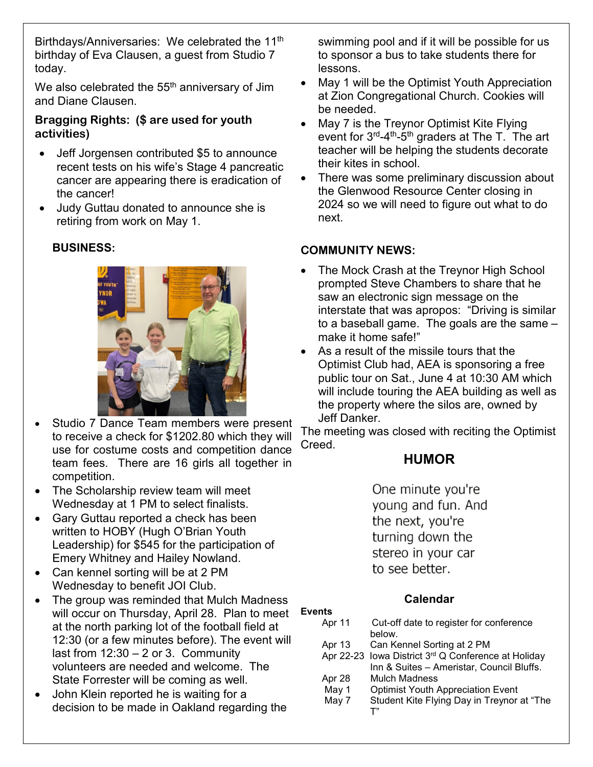Birthdays/Anniversaries: We celebrated the 11<sup>th</sup> birthday of Eva Clausen, a guest from Studio 7 today.

We also celebrated the  $55<sup>th</sup>$  anniversary of Jim and Diane Clausen.

### **Bragging Rights: (\$ are used for youth activities)**

- Jeff Jorgensen contributed \$5 to announce recent tests on his wife's Stage 4 pancreatic cancer are appearing there is eradication of the cancer!
- Judy Guttau donated to announce she is retiring from work on May 1.

### **BUSINESS:**



- Studio 7 Dance Team members were present to receive a check for \$1202.80 which they will use for costume costs and competition dance team fees. There are 16 girls all together in competition.
- The Scholarship review team will meet Wednesday at 1 PM to select finalists.
- Gary Guttau reported a check has been written to HOBY (Hugh O'Brian Youth Leadership) for \$545 for the participation of Emery Whitney and Hailey Nowland.
- Can kennel sorting will be at 2 PM Wednesday to benefit JOI Club.
- The group was reminded that Mulch Madness will occur on Thursday, April 28. Plan to meet **Events** at the north parking lot of the football field at 12:30 (or a few minutes before). The event will last from  $12:30 - 2$  or 3. Community volunteers are needed and welcome. The State Forrester will be coming as well.
- John Klein reported he is waiting for a decision to be made in Oakland regarding the

swimming pool and if it will be possible for us to sponsor a bus to take students there for lessons.

- May 1 will be the Optimist Youth Appreciation at Zion Congregational Church. Cookies will be needed.
- May 7 is the Treynor Optimist Kite Flying event for  $3^{rd}$ -4<sup>th</sup>-5<sup>th</sup> graders at The T. The art teacher will be helping the students decorate their kites in school.
- There was some preliminary discussion about the Glenwood Resource Center closing in 2024 so we will need to figure out what to do next.

#### **COMMUNITY NEWS:**

- The Mock Crash at the Treynor High School prompted Steve Chambers to share that he saw an electronic sign message on the interstate that was apropos: "Driving is similar to a baseball game. The goals are the same – make it home safe!"
- As a result of the missile tours that the Optimist Club had, AEA is sponsoring a free public tour on Sat., June 4 at 10:30 AM which will include touring the AEA building as well as the property where the silos are, owned by Jeff Danker.

The meeting was closed with reciting the Optimist Creed.

# **HUMOR**

One minute you're young and fun. And the next, you're turning down the stereo in your car to see better.

# **Calendar**

| Apr 11 | Cut-off date to register for conference             |  |
|--------|-----------------------------------------------------|--|
|        | below.                                              |  |
| Apr 13 | Can Kennel Sorting at 2 PM                          |  |
|        | Apr 22-23 Iowa District 3rd Q Conference at Holiday |  |
|        | Inn & Suites - Ameristar, Council Bluffs.           |  |
| Apr 28 | <b>Mulch Madness</b>                                |  |
| May 1  | <b>Optimist Youth Appreciation Event</b>            |  |
| May 7  | Student Kite Flying Day in Treynor at "The          |  |
|        |                                                     |  |
|        |                                                     |  |